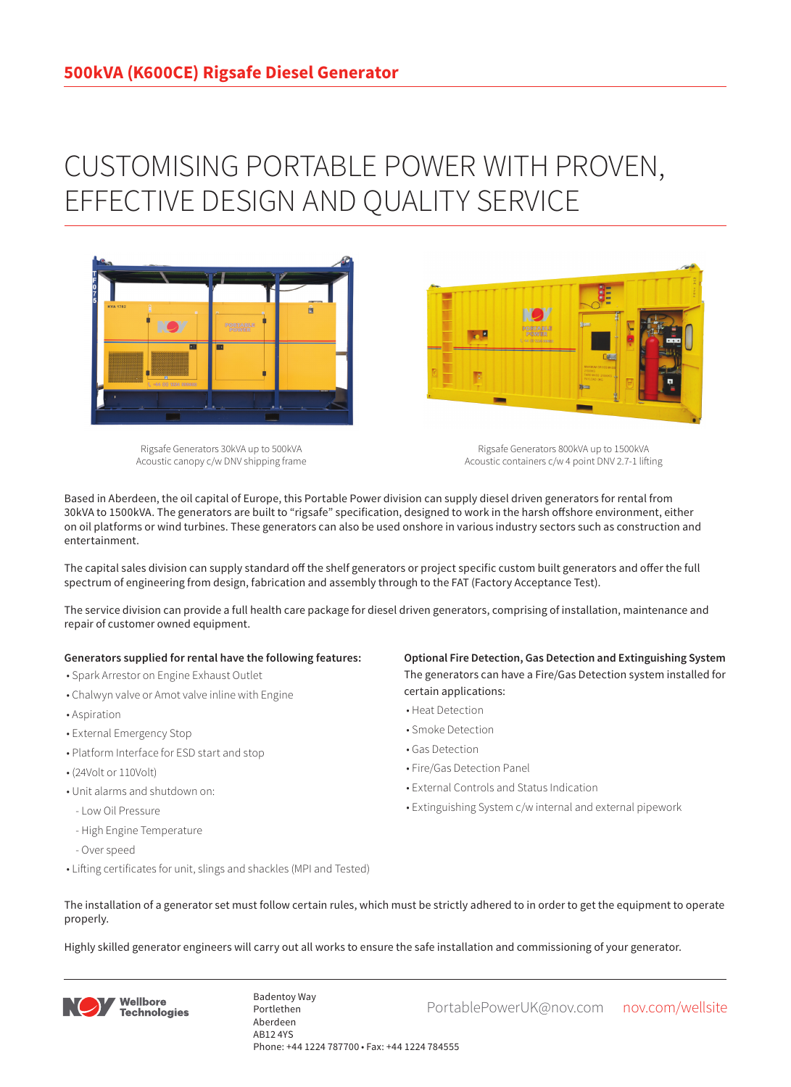## CUSTOMISING PORTABLE POWER WITH PROVEN, EFFECTIVE DESIGN AND QUALITY SERVICE



Rigsafe Generators 30kVA up to 500kVA Acoustic canopy c/w DNV shipping frame

Rigsafe Generators 800kVA up to 1500kVA Acoustic containers c/w 4 point DNV 2.7-1 lifting

Based in Aberdeen, the oil capital of Europe, this Portable Power division can supply diesel driven generators for rental from 30kVA to 1500kVA. The generators are built to "rigsafe" specification, designed to work in the harsh offshore environment, either on oil platforms or wind turbines. These generators can also be used onshore in various industry sectors such as construction and entertainment.

The capital sales division can supply standard off the shelf generators or project specific custom built generators and offer the full spectrum of engineering from design, fabrication and assembly through to the FAT (Factory Acceptance Test).

The service division can provide a full health care package for diesel driven generators, comprising of installation, maintenance and repair of customer owned equipment.

## **Generators supplied for rental have the following features:**

- Spark Arrestor on Engine Exhaust Outlet
- Chalwyn valve or Amot valve inline with Engine
- Aspiration
- External Emergency Stop
- Platform Interface for ESD start and stop
- (24Volt or 110Volt)
- Unit alarms and shutdown on:
- Low Oil Pressure
- High Engine Temperature
- Over speed
- Lifting certificates for unit, slings and shackles (MPI and Tested)

**Optional Fire Detection, Gas Detection and Extinguishing System** The generators can have a Fire/Gas Detection system installed for certain applications:

- Heat Detection
- Smoke Detection
- Gas Detection
- Fire/Gas Detection Panel

**Designation** 

- External Controls and Status Indication
- Extinguishing System c/w internal and external pipework
- The installation of a generator set must follow certain rules, which must be strictly adhered to in order to get the equipment to operate properly.

Highly skilled generator engineers will carry out all works to ensure the safe installation and commissioning of your generator.



Badentoy Way<br>PortablePowerUK@nov.com nov.com/wellsite Portlethen Aberdeen AB12 4YS Phone: +44 1224 787700 • Fax: +44 1224 784555